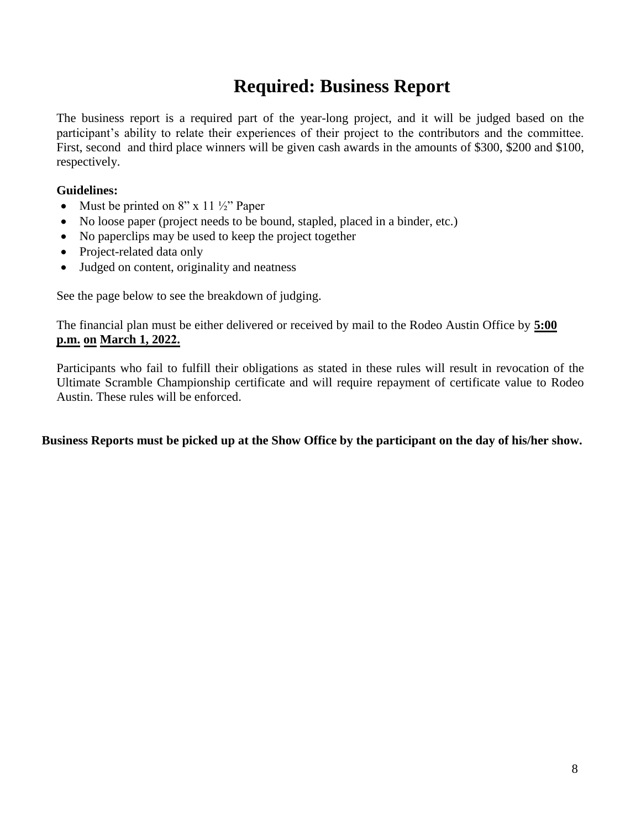# **Required: Business Report**

The business report is a required part of the year-long project, and it will be judged based on the participant's ability to relate their experiences of their project to the contributors and the committee. First, second and third place winners will be given cash awards in the amounts of \$300, \$200 and \$100, respectively.

#### **Guidelines:**

- Must be printed on  $8"$  x 11  $\frac{1}{2}$ " Paper
- No loose paper (project needs to be bound, stapled, placed in a binder, etc.)
- No paperclips may be used to keep the project together
- Project-related data only
- Judged on content, originality and neatness

See the page below to see the breakdown of judging.

The financial plan must be either delivered or received by mail to the Rodeo Austin Office by **5:00 p.m. on March 1, 2022.**

Participants who fail to fulfill their obligations as stated in these rules will result in revocation of the Ultimate Scramble Championship certificate and will require repayment of certificate value to Rodeo Austin. These rules will be enforced.

**Business Reports must be picked up at the Show Office by the participant on the day of his/her show.**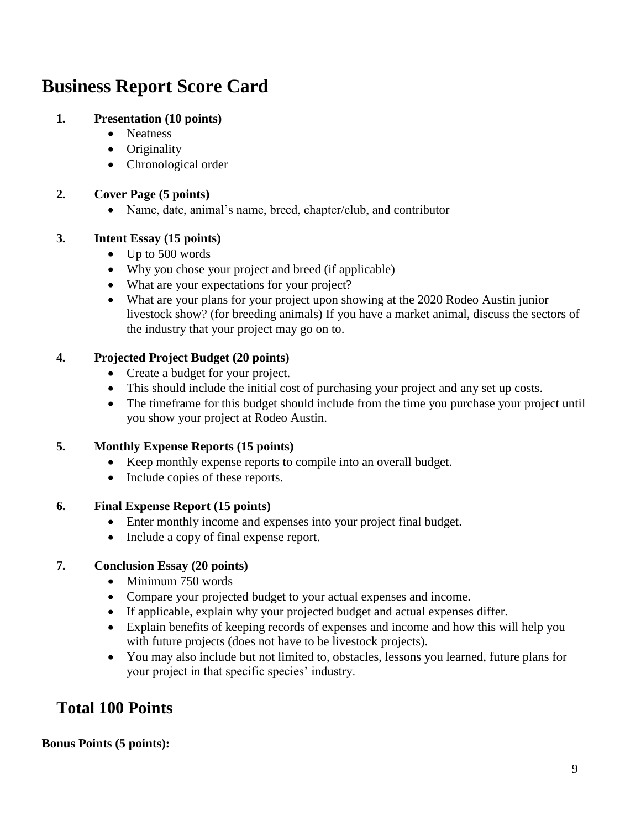# **Business Report Score Card**

#### **1. Presentation (10 points)**

- Neatness
- Originality
- Chronological order

#### **2. Cover Page (5 points)**

• Name, date, animal's name, breed, chapter/club, and contributor

#### **3. Intent Essay (15 points)**

- Up to 500 words
- Why you chose your project and breed (if applicable)
- What are your expectations for your project?
- What are your plans for your project upon showing at the 2020 Rodeo Austin junior livestock show? (for breeding animals) If you have a market animal, discuss the sectors of the industry that your project may go on to.

#### **4. Projected Project Budget (20 points)**

- Create a budget for your project.
- This should include the initial cost of purchasing your project and any set up costs.
- The timeframe for this budget should include from the time you purchase your project until you show your project at Rodeo Austin.

#### **5. Monthly Expense Reports (15 points)**

- Keep monthly expense reports to compile into an overall budget.
- Include copies of these reports.

#### **6. Final Expense Report (15 points)**

- Enter monthly income and expenses into your project final budget.
- Include a copy of final expense report.

#### **7. Conclusion Essay (20 points)**

- Minimum 750 words
- Compare your projected budget to your actual expenses and income.
- If applicable, explain why your projected budget and actual expenses differ.
- Explain benefits of keeping records of expenses and income and how this will help you with future projects (does not have to be livestock projects).
- You may also include but not limited to, obstacles, lessons you learned, future plans for your project in that specific species' industry.

### **Total 100 Points**

#### **Bonus Points (5 points):**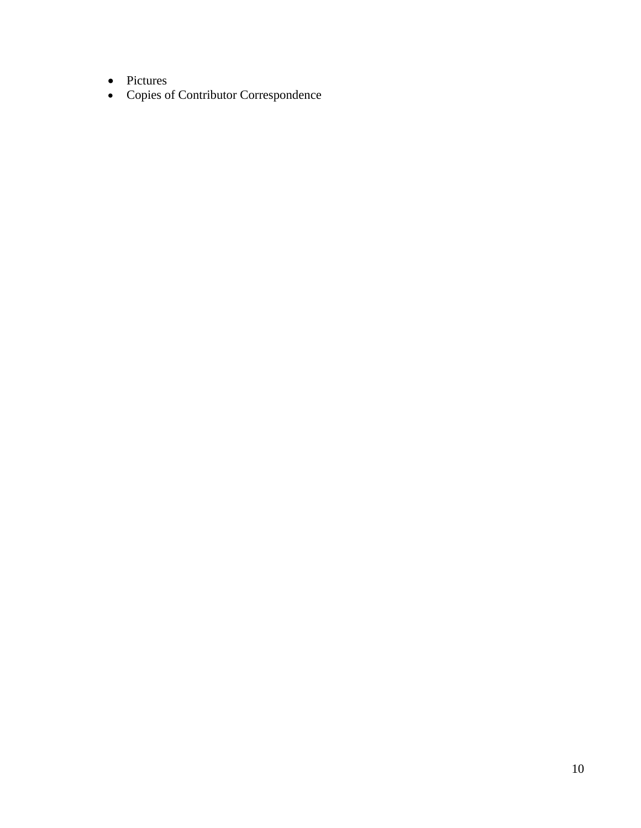- Pictures
- Copies of Contributor Correspondence